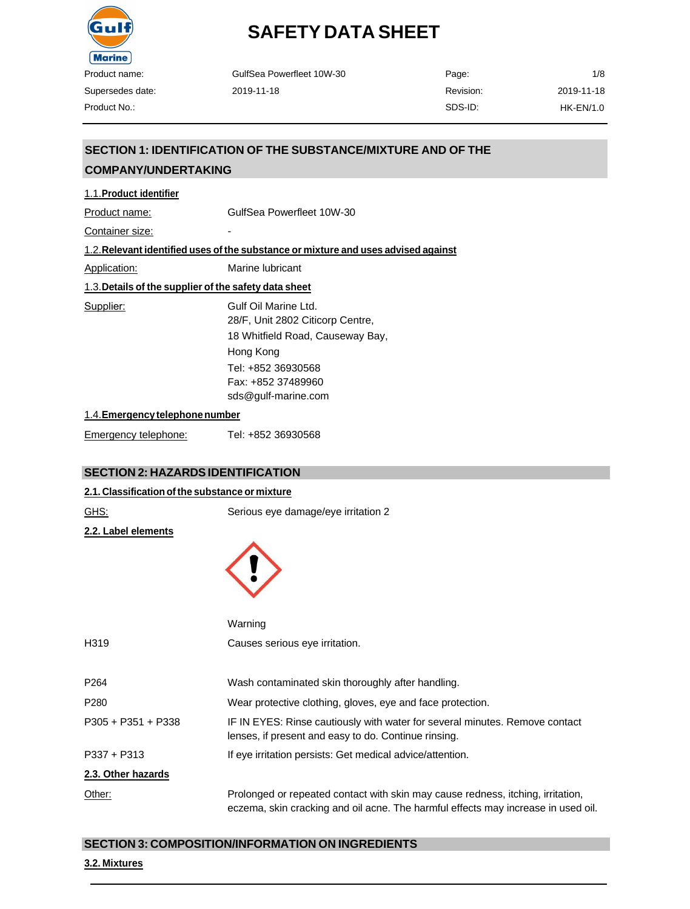

| GulfSea Powerfleet 10W-30 | Page:     | 1/8         |
|---------------------------|-----------|-------------|
| 2019-11-18                | Revision: | 2019-11-18  |
|                           | SDS-ID:   | $HK-EN/1.0$ |

### **SECTION 1: IDENTIFICATION OF THE SUBSTANCE/MIXTURE AND OF THE COMPANY/UNDERTAKING**

| 1.1. Product identifier                               |                                                                                                                                                                              |
|-------------------------------------------------------|------------------------------------------------------------------------------------------------------------------------------------------------------------------------------|
| Product name:                                         | GulfSea Powerfleet 10W-30                                                                                                                                                    |
| Container size:                                       |                                                                                                                                                                              |
|                                                       | 1.2. Relevant identified uses of the substance or mixture and uses advised against                                                                                           |
| Application:                                          | Marine lubricant                                                                                                                                                             |
| 1.3. Details of the supplier of the safety data sheet |                                                                                                                                                                              |
| Supplier:                                             | Gulf Oil Marine Ltd.<br>28/F, Unit 2802 Citicorp Centre,<br>18 Whitfield Road, Causeway Bay,<br>Hong Kong<br>Tel: +852 36930568<br>Fax: +852 37489960<br>sds@gulf-marine.com |
| 1.4. Emergency telephone number                       |                                                                                                                                                                              |

Emergency telephone: Tel: +852 36930568

### **SECTION 2: HAZARDSIDENTIFICATION**

| 2.1. Classification of the substance or mixture |                                                                                                                                                                      |
|-------------------------------------------------|----------------------------------------------------------------------------------------------------------------------------------------------------------------------|
| <u>GHS:</u>                                     | Serious eye damage/eye irritation 2                                                                                                                                  |
| 2.2. Label elements                             |                                                                                                                                                                      |
|                                                 |                                                                                                                                                                      |
|                                                 | Warning                                                                                                                                                              |
| H319                                            | Causes serious eye irritation.                                                                                                                                       |
| P264                                            | Wash contaminated skin thoroughly after handling.                                                                                                                    |
| P280                                            | Wear protective clothing, gloves, eye and face protection.                                                                                                           |
| P305 + P351 + P338                              | IF IN EYES: Rinse cautiously with water for several minutes. Remove contact<br>lenses, if present and easy to do. Continue rinsing.                                  |
| P337 + P313                                     | If eye irritation persists: Get medical advice/attention.                                                                                                            |
| 2.3. Other hazards                              |                                                                                                                                                                      |
| Other:                                          | Prolonged or repeated contact with skin may cause redness, itching, irritation,<br>eczema, skin cracking and oil acne. The harmful effects may increase in used oil. |

### **SECTION 3: COMPOSITION/INFORMATION ON INGREDIENTS**

### **3.2. Mixtures**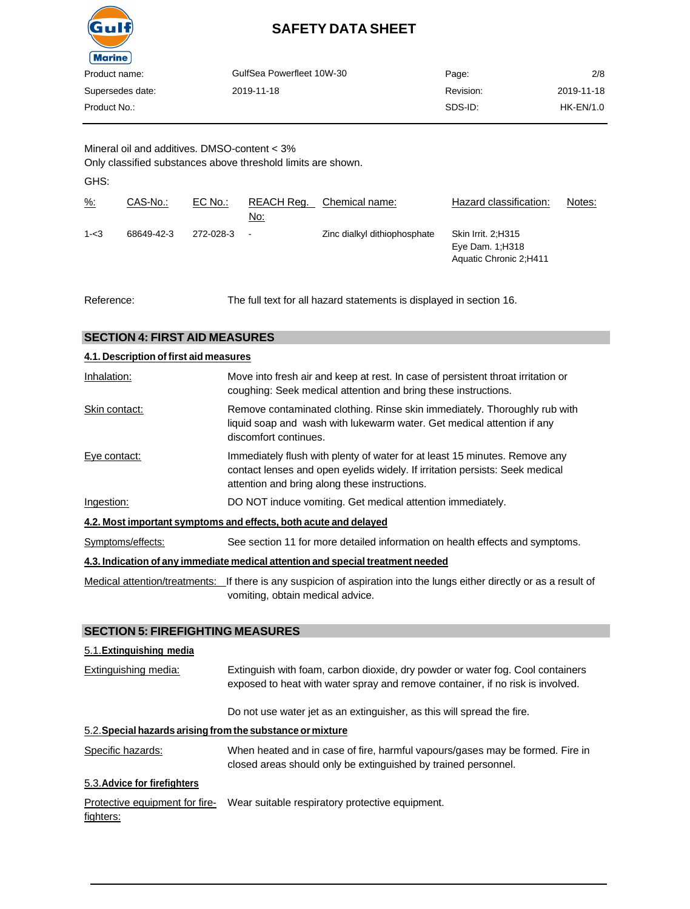

| Product name:    | GulfSea Powerfleet 10W-30 | Page:     | 2/8         |
|------------------|---------------------------|-----------|-------------|
| Supersedes date: | 2019-11-18                | Revision: | 2019-11-18  |
| Product No.:     |                           | SDS-ID:   | $HK-EN/1.0$ |
|                  |                           |           |             |

Mineral oil and additives. DMSO-content < 3% Only classified substances above threshold limits are shown.

GHS:

| <u>%:</u> | CAS-No.:   | EC No.:   | REACH Req.<br>No: | Chemical name:               | Hazard classification:                                           | Notes: |
|-----------|------------|-----------|-------------------|------------------------------|------------------------------------------------------------------|--------|
| $1 - 3$   | 68649-42-3 | 272-028-3 | $\blacksquare$    | Zinc dialkyl dithiophosphate | Skin Irrit. 2:H315<br>Eye Dam. 1; H318<br>Aquatic Chronic 2:H411 |        |

Reference: The full text for all hazard statements is displayed in section 16.

| <b>SECTION 4: FIRST AID MEASURES</b>                                            |                                                                                                                                                                                                             |  |  |
|---------------------------------------------------------------------------------|-------------------------------------------------------------------------------------------------------------------------------------------------------------------------------------------------------------|--|--|
| 4.1. Description of first aid measures                                          |                                                                                                                                                                                                             |  |  |
| Inhalation:                                                                     | Move into fresh air and keep at rest. In case of persistent throat irritation or<br>coughing: Seek medical attention and bring these instructions.                                                          |  |  |
| Skin contact:                                                                   | Remove contaminated clothing. Rinse skin immediately. Thoroughly rub with<br>liquid soap and wash with lukewarm water. Get medical attention if any<br>discomfort continues.                                |  |  |
| Eye contact:                                                                    | Immediately flush with plenty of water for at least 15 minutes. Remove any<br>contact lenses and open eyelids widely. If irritation persists: Seek medical<br>attention and bring along these instructions. |  |  |
| Ingestion:                                                                      | DO NOT induce vomiting. Get medical attention immediately.                                                                                                                                                  |  |  |
|                                                                                 | 4.2. Most important symptoms and effects, both acute and delayed                                                                                                                                            |  |  |
| Symptoms/effects:                                                               | See section 11 for more detailed information on health effects and symptoms.                                                                                                                                |  |  |
| 4.3. Indication of any immediate medical attention and special treatment needed |                                                                                                                                                                                                             |  |  |
|                                                                                 | Medical attention/treatments: If there is any suspicion of aspiration into the lungs either directly or as a result of<br>vomiting, obtain medical advice.                                                  |  |  |

### **SECTION 5: FIREFIGHTING MEASURES**

### 5.1.**Extinguishing media**

| Extinguishing media:                                       | Extinguish with foam, carbon dioxide, dry powder or water fog. Cool containers<br>exposed to heat with water spray and remove container, if no risk is involved. |  |  |
|------------------------------------------------------------|------------------------------------------------------------------------------------------------------------------------------------------------------------------|--|--|
|                                                            | Do not use water jet as an extinguisher, as this will spread the fire.                                                                                           |  |  |
| 5.2. Special hazards arising from the substance or mixture |                                                                                                                                                                  |  |  |
| Specific hazards:                                          | When heated and in case of fire, harmful vapours/gases may be formed. Fire in<br>closed areas should only be extinguished by trained personnel.                  |  |  |
| 5.3. Advice for firefighters                               |                                                                                                                                                                  |  |  |
| Protective equipment for fire-                             | Wear suitable respiratory protective equipment.                                                                                                                  |  |  |

fighters: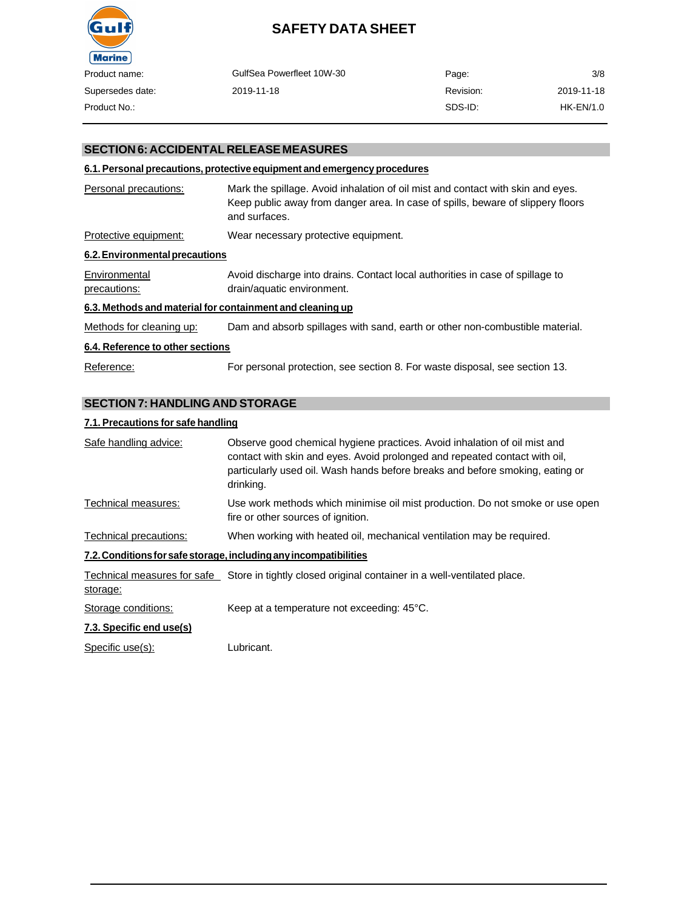

| Product name:    | GulfSea Powerfleet 10W-30 | Page:     | 3/8         |
|------------------|---------------------------|-----------|-------------|
| Supersedes date: | 2019-11-18                | Revision: | 2019-11-18  |
| Product No.:     |                           | SDS-ID:   | $HK-EN/1.0$ |

### **SECTION 6: ACCIDENTAL RELEASE MEASURES**

### **6.1. Personal precautions, protective equipment and emergency procedures**

| Personal precautions:                                     | Mark the spillage. Avoid inhalation of oil mist and contact with skin and eyes.<br>Keep public away from danger area. In case of spills, beware of slippery floors<br>and surfaces. |
|-----------------------------------------------------------|-------------------------------------------------------------------------------------------------------------------------------------------------------------------------------------|
| Protective equipment:                                     | Wear necessary protective equipment.                                                                                                                                                |
| 6.2. Environmental precautions                            |                                                                                                                                                                                     |
| Environmental<br>precautions:                             | Avoid discharge into drains. Contact local authorities in case of spillage to<br>drain/aquatic environment.                                                                         |
| 6.3. Methods and material for containment and cleaning up |                                                                                                                                                                                     |
| Methods for cleaning up:                                  | Dam and absorb spillages with sand, earth or other non-combustible material.                                                                                                        |
| 6.4. Reference to other sections                          |                                                                                                                                                                                     |
| Reference:                                                | For personal protection, see section 8. For waste disposal, see section 13.                                                                                                         |

### **SECTION 7: HANDLING AND STORAGE**

### **7.1. Precautions for safe handling**

| Safe handling advice:    | Observe good chemical hygiene practices. Avoid inhalation of oil mist and<br>contact with skin and eyes. Avoid prolonged and repeated contact with oil,<br>particularly used oil. Wash hands before breaks and before smoking, eating or<br>drinking. |
|--------------------------|-------------------------------------------------------------------------------------------------------------------------------------------------------------------------------------------------------------------------------------------------------|
| Technical measures:      | Use work methods which minimise oil mist production. Do not smoke or use open<br>fire or other sources of ignition.                                                                                                                                   |
| Technical precautions:   | When working with heated oil, mechanical ventilation may be required.                                                                                                                                                                                 |
|                          | 7.2. Conditions for safe storage, including any incompatibilities                                                                                                                                                                                     |
| storage:                 | Technical measures for safe Store in tightly closed original container in a well-ventilated place.                                                                                                                                                    |
| Storage conditions:      | Keep at a temperature not exceeding: 45°C.                                                                                                                                                                                                            |
| 7.3. Specific end use(s) |                                                                                                                                                                                                                                                       |

Specific use(s): Lubricant.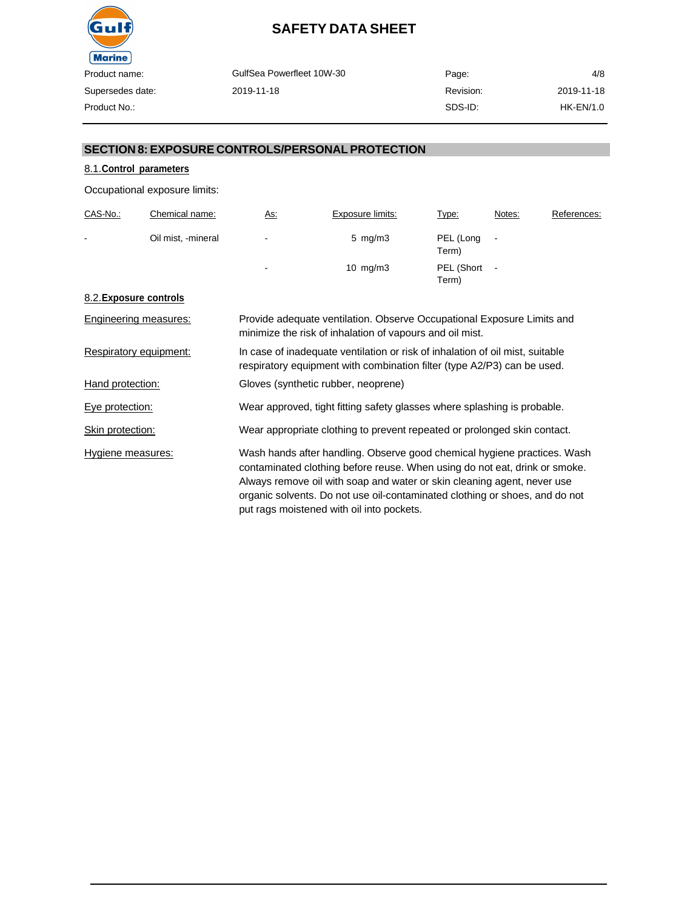

| oduct name:     | GulfSea Powerfleet 10W-30 | Page:     | 4/8        |
|-----------------|---------------------------|-----------|------------|
| ipersedes date: | 2019-11-18                | Revision: | 2019-11-18 |
| oduct No.:      |                           | SDS-ID:   | HK-EN/1.0  |

### **SECTION 8: EXPOSURE CONTROLS/PERSONAL PROTECTION**

### 8.1.**Control parameters**

Occupational exposure limits:

| CAS-No.:       | Chemical name:     | <u>As:</u>     | Exposure limits:   | Type:               | Notes:                   | References: |
|----------------|--------------------|----------------|--------------------|---------------------|--------------------------|-------------|
| $\blacksquare$ | Oil mist, -mineral | $\blacksquare$ | $5 \,$ mg/m $3 \,$ | PEL (Long<br>Term)  | $\blacksquare$           |             |
|                |                    | $\blacksquare$ | 10 $mg/m3$         | PEL (Short<br>Term) | $\overline{\phantom{a}}$ |             |

### 8.2.**Exposure controls**

| Engineering measures:  | Provide adequate ventilation. Observe Occupational Exposure Limits and<br>minimize the risk of inhalation of vapours and oil mist.                                                                                                                                                                                                                            |
|------------------------|---------------------------------------------------------------------------------------------------------------------------------------------------------------------------------------------------------------------------------------------------------------------------------------------------------------------------------------------------------------|
| Respiratory equipment: | In case of inadequate ventilation or risk of inhalation of oil mist, suitable<br>respiratory equipment with combination filter (type A2/P3) can be used.                                                                                                                                                                                                      |
| Hand protection:       | Gloves (synthetic rubber, neoprene)                                                                                                                                                                                                                                                                                                                           |
| Eye protection:        | Wear approved, tight fitting safety glasses where splashing is probable.                                                                                                                                                                                                                                                                                      |
| Skin protection:       | Wear appropriate clothing to prevent repeated or prolonged skin contact.                                                                                                                                                                                                                                                                                      |
| Hygiene measures:      | Wash hands after handling. Observe good chemical hygiene practices. Wash<br>contaminated clothing before reuse. When using do not eat, drink or smoke.<br>Always remove oil with soap and water or skin cleaning agent, never use<br>organic solvents. Do not use oil-contaminated clothing or shoes, and do not<br>put rags moistened with oil into pockets. |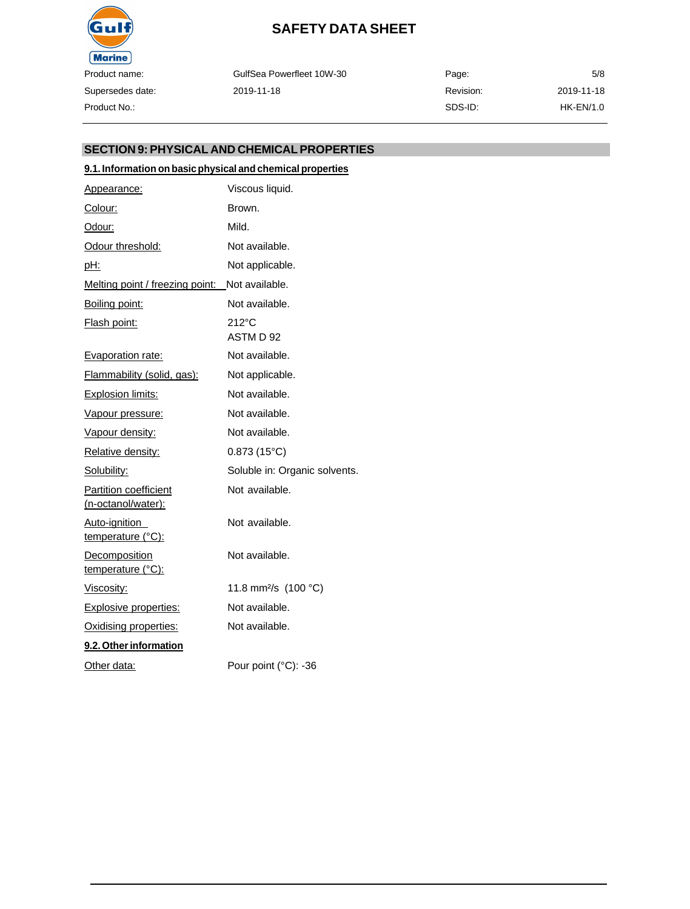

GulfSea Powerfleet 10W-30 2019-11-18

| Page:     | 5/8         |
|-----------|-------------|
| Revision: | 2019-11-18  |
| SDS-ID:   | $HK-EN/1.0$ |

### **SECTION 9:PHYSICAL AND CHEMICALPROPERTIES**

### **9.1. Information on basicphysical and chemical properties**

| Appearance:                                 | Viscous liquid.                  |
|---------------------------------------------|----------------------------------|
| Colour:                                     | Brown.                           |
| Odour:                                      | Mild.                            |
| Odour threshold:                            | Not available.                   |
| <u>pH:</u>                                  | Not applicable.                  |
| Melting point / freezing point:             | Not available.                   |
| Boiling point:                              | Not available.                   |
| Flash point:                                | $212^{\circ}$ C<br>ASTM D 92     |
| <b>Evaporation rate:</b>                    | Not available.                   |
| <b>Flammability (solid, gas):</b>           | Not applicable.                  |
| <b>Explosion limits:</b>                    | Not available.                   |
| <u>Vapour pressure:</u>                     | Not available.                   |
| Vapour density:                             | Not available.                   |
| Relative density:                           | $0.873(15^{\circ}C)$             |
| Solubility:                                 | Soluble in: Organic solvents.    |
| Partition coefficient<br>(n-octanol/water): | Not available.                   |
| <u>Auto-ignition</u><br>temperature (°C):   | Not available.                   |
| Decomposition<br>temperature (°C):          | Not available.                   |
| Viscosity:                                  | 11.8 mm <sup>2</sup> /s (100 °C) |
| <b>Explosive properties:</b>                | Not available.                   |
| Oxidising properties:                       | Not available.                   |
| 9.2. Other information                      |                                  |
| Other data:                                 | Pour point (°C): -36             |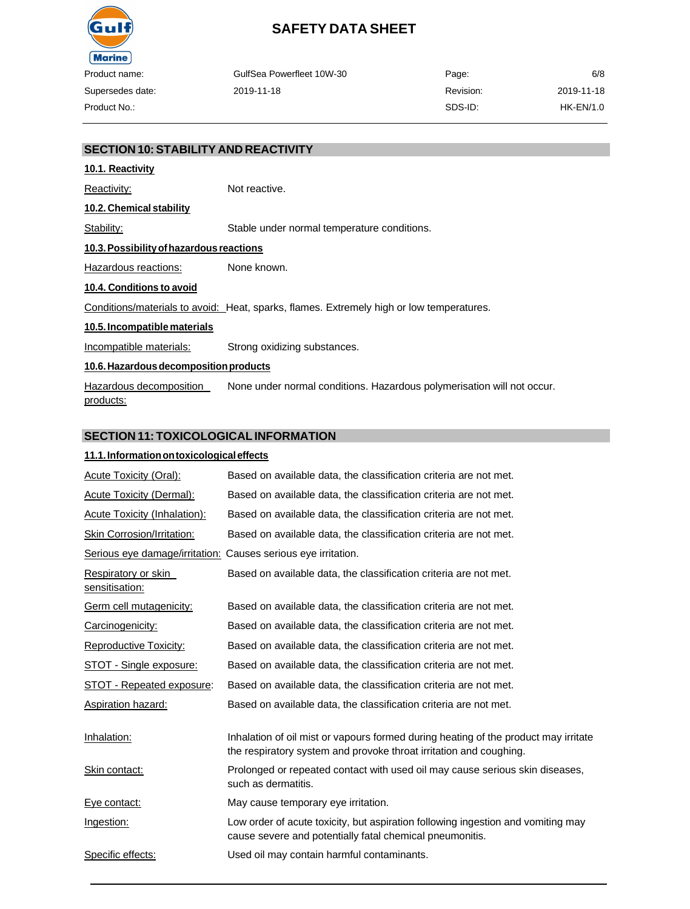

|       | GulfSea Powerfleet 10W-30 | Page:     | 6/8        |
|-------|---------------------------|-----------|------------|
| late: | 2019-11-18                | Revision: | 2019-11-18 |
|       |                           | SDS-ID:   | HK-EN/1.0  |

### **SECTION 10:STABILITY AND REACTIVITY**

# **10.1. Reactivity** Reactivity: Not reactive. **10.2. Chemical stability** Stability: Stable under normal temperature conditions. **10.3.Possibilityofhazardous reactions** Hazardous reactions: None known. **10.4. Conditions to avoid** Conditions/materials to avoid: Heat, sparks, flames. Extremely high or low temperatures. **10.5. Incompatible materials** Incompatible materials: Strong oxidizing substances. **10.6.Hazardousdecompositionproducts** Hazardous decomposition products: None under normal conditions. Hazardous polymerisation will not occur.

### **SECTION 11: TOXICOLOGICAL INFORMATION**

### **11.1.Informationontoxicologicaleffects**

| <b>Acute Toxicity (Oral):</b>         | Based on available data, the classification criteria are not met.                                                                                         |
|---------------------------------------|-----------------------------------------------------------------------------------------------------------------------------------------------------------|
| <b>Acute Toxicity (Dermal):</b>       | Based on available data, the classification criteria are not met.                                                                                         |
| <b>Acute Toxicity (Inhalation):</b>   | Based on available data, the classification criteria are not met.                                                                                         |
| <b>Skin Corrosion/Irritation:</b>     | Based on available data, the classification criteria are not met.                                                                                         |
| Serious eye damage/irritation:        | Causes serious eye irritation.                                                                                                                            |
| Respiratory or skin<br>sensitisation: | Based on available data, the classification criteria are not met.                                                                                         |
| Germ cell mutagenicity:               | Based on available data, the classification criteria are not met.                                                                                         |
| Carcinogenicity:                      | Based on available data, the classification criteria are not met.                                                                                         |
| <b>Reproductive Toxicity:</b>         | Based on available data, the classification criteria are not met.                                                                                         |
| STOT - Single exposure:               | Based on available data, the classification criteria are not met.                                                                                         |
| STOT - Repeated exposure:             | Based on available data, the classification criteria are not met.                                                                                         |
| Aspiration hazard:                    | Based on available data, the classification criteria are not met.                                                                                         |
| Inhalation:                           | Inhalation of oil mist or vapours formed during heating of the product may irritate<br>the respiratory system and provoke throat irritation and coughing. |
| Skin contact:                         | Prolonged or repeated contact with used oil may cause serious skin diseases,<br>such as dermatitis.                                                       |
| Eye contact:                          | May cause temporary eye irritation.                                                                                                                       |
| Ingestion:                            | Low order of acute toxicity, but aspiration following ingestion and vomiting may<br>cause severe and potentially fatal chemical pneumonitis.              |
| Specific effects:                     | Used oil may contain harmful contaminants.                                                                                                                |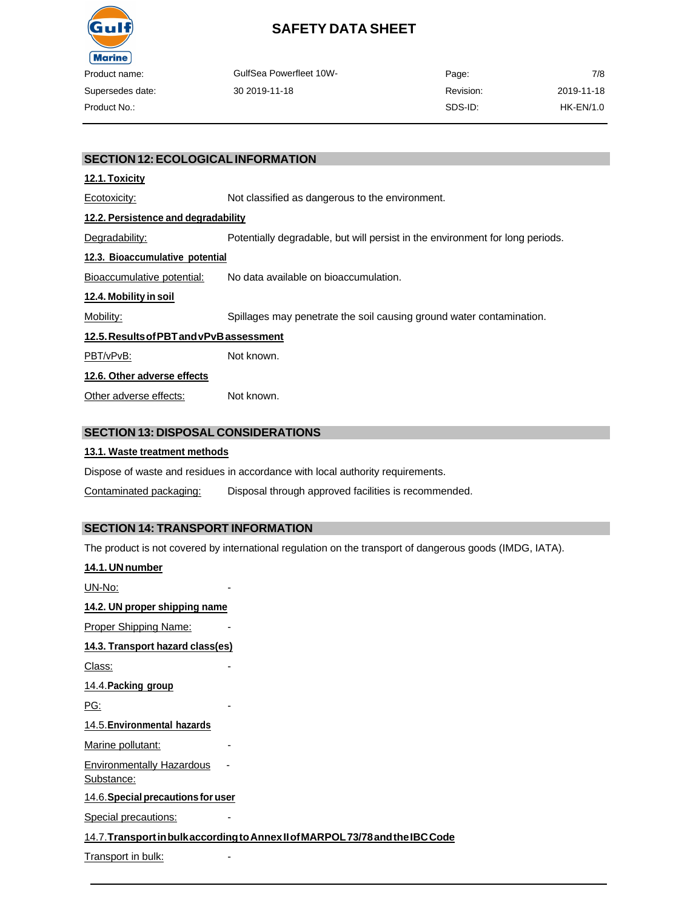

| Product name:    | <b>GulfSea Powerfleet 10W-</b> | Page:     | 7/8        |
|------------------|--------------------------------|-----------|------------|
| Supersedes date: | 30 2019-11-18                  | Revision: | 2019-11-18 |
| Product No.:     |                                | SDS-ID:   | HK-EN/1.0  |

### **SECTION 12:ECOLOGICALINFORMATION**

### **12.1. Toxicity**

Ecotoxicity: Not classified as dangerous to the environment. **12.2. Persistence and degradability** Degradability: Potentially degradable, but will persist in the environment for long periods.

### **12.3. Bioaccumulative potential**

Bioaccumulative potential: No data available on bioaccumulation.

#### **12.4. Mobility in soil**

Mobility: Spillages may penetrate the soil causing ground water contamination.

### **12.5.ResultsofPBTandvPvBassessment**

PBT/vPvB: Not known.

### **12.6. Other adverse effects**

Other adverse effects: Not known.

### **SECTION 13: DISPOSAL CONSIDERATIONS**

### **13.1. Waste treatment methods**

Dispose of waste and residues in accordance with local authority requirements.

Contaminated packaging: Disposal through approved facilities is recommended.

### **SECTION 14: TRANSPORT INFORMATION**

The product is not covered by international regulation on the transport of dangerous goods (IMDG, IATA).

| 14.1. UN number                                |                                                                                |
|------------------------------------------------|--------------------------------------------------------------------------------|
| UN-No:                                         |                                                                                |
| 14.2. UN proper shipping name                  |                                                                                |
| <b>Proper Shipping Name:</b>                   |                                                                                |
| 14.3. Transport hazard class(es)               |                                                                                |
| Class:                                         |                                                                                |
| 14.4. Packing group                            |                                                                                |
| PG:                                            |                                                                                |
| 14.5. Environmental hazards                    |                                                                                |
| Marine pollutant:                              |                                                                                |
| <b>Environmentally Hazardous</b><br>Substance: |                                                                                |
| 14.6. Special precautions for user             |                                                                                |
| <b>Special precautions:</b>                    |                                                                                |
|                                                | 14.7. Transport in bulk according to Annex II of MARPOL 73/78 and the IBC Code |
| Transport in bulk:                             |                                                                                |
|                                                |                                                                                |